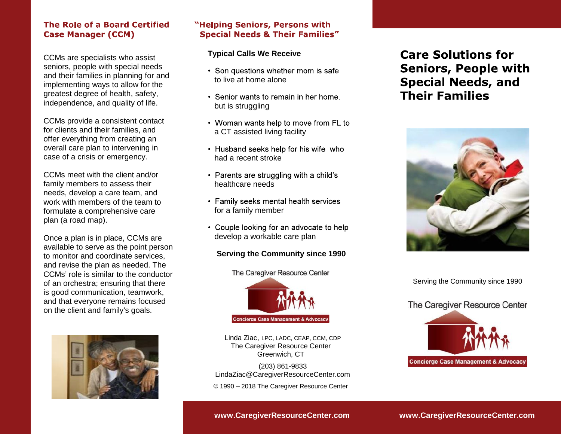#### The Role of a Board Certified **Case Manager (CCM)**

.

CCMs are specialists who assist seniors, people with special needs and their families in planning for and implementing ways to allow for the greatest degree of health, safety, independence, and quality of life.

CCMs provide a consistent contact for clients and their families, and offer everything from creating an overall care plan to intervening in case of a crisis or emergency.

CCMs meet with the client and/or family members to assess their needs, develop a care team, and work with members of the team to formulate a comprehensive care plan (a road map).

Once a plan is in place, CCMs are available to serve as the point person to monitor and coordinate services, and revise the plan as needed. The CCMs' role is similar to the conductor of an orchestra; ensuring that there is good communication, teamwork, and that everyone remains focused on the client and family's goals.



#### "Helping Seniors, Persons with **Special Needs & Their Families"**

#### **Typical Calls We Receive**

- Son questions whether mom is safe to live at home alone
- Senior wants to remain in her home. but is struggling
- Woman wants help to move from FL to a CT assisted living facility
- Husband seeks help for his wife who had a recent stroke
- Parents are struggling with a child's healthcare needs
- Family seeks mental health services for a family member
- Couple looking for an advocate to help develop a workable care plan **Serving the Community since 1990**

#### **Serving the Community since 1990**

The Caregiver Resource Center



Linda Ziac, LPC, LADC, CEAP, CCM, CDP The Caregiver Resource Center Greenwich, CT

(203) 861-9833 [LindaZiac@CaregiverResourceCenter.com](mailto:LindaZiac@CaregiverResourceCenter.com) © 1990 2018 The Caregiver Resource Center

# **Care Solutions for Seniors, People with Special Needs, and Their Families**



Serving the Community since 1990

## The Caregiver Resource Center



**<www.CaregiverResourceCenter.com> www.CaregiverResourceCenter.com**